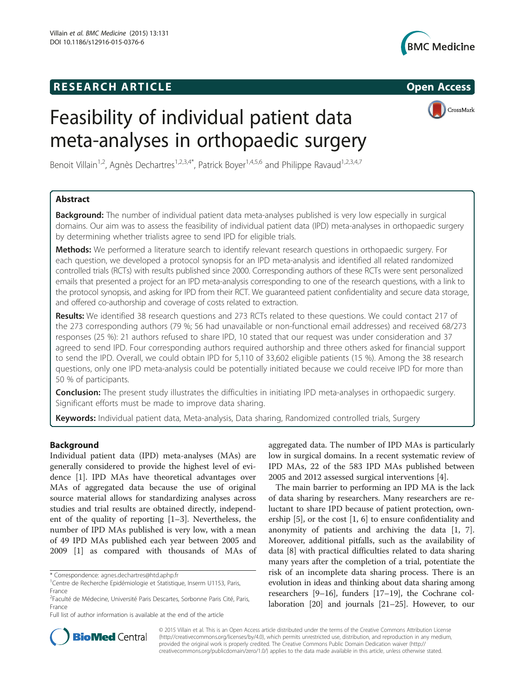# **RESEARCH ARTICLE Example 2014 CONSIDERING CONSIDERING CONSIDERING CONSIDERING CONSIDERING CONSIDERING CONSIDERING CONSIDERING CONSIDERING CONSIDERING CONSIDERING CONSIDERING CONSIDERING CONSIDERING CONSIDERING CONSIDE**



CrossMark

# Feasibility of individual patient data meta-analyses in orthopaedic surgery

Benoit Villain<sup>1,2</sup>, Agnès Dechartres<sup>1,2,3,4\*</sup>, Patrick Boyer<sup>1,4,5,6</sup> and Philippe Ravaud<sup>1,2,3,4,7</sup>

# Abstract

**Background:** The number of individual patient data meta-analyses published is very low especially in surgical domains. Our aim was to assess the feasibility of individual patient data (IPD) meta-analyses in orthopaedic surgery by determining whether trialists agree to send IPD for eligible trials.

Methods: We performed a literature search to identify relevant research questions in orthopaedic surgery. For each question, we developed a protocol synopsis for an IPD meta-analysis and identified all related randomized controlled trials (RCTs) with results published since 2000. Corresponding authors of these RCTs were sent personalized emails that presented a project for an IPD meta-analysis corresponding to one of the research questions, with a link to the protocol synopsis, and asking for IPD from their RCT. We guaranteed patient confidentiality and secure data storage, and offered co-authorship and coverage of costs related to extraction.

Results: We identified 38 research questions and 273 RCTs related to these questions. We could contact 217 of the 273 corresponding authors (79 %; 56 had unavailable or non-functional email addresses) and received 68/273 responses (25 %): 21 authors refused to share IPD, 10 stated that our request was under consideration and 37 agreed to send IPD. Four corresponding authors required authorship and three others asked for financial support to send the IPD. Overall, we could obtain IPD for 5,110 of 33,602 eligible patients (15 %). Among the 38 research questions, only one IPD meta-analysis could be potentially initiated because we could receive IPD for more than 50 % of participants.

Conclusion: The present study illustrates the difficulties in initiating IPD meta-analyses in orthopaedic surgery. Significant efforts must be made to improve data sharing.

Keywords: Individual patient data, Meta-analysis, Data sharing, Randomized controlled trials, Surgery

# Background

Individual patient data (IPD) meta-analyses (MAs) are generally considered to provide the highest level of evidence [[1\]](#page-9-0). IPD MAs have theoretical advantages over MAs of aggregated data because the use of original source material allows for standardizing analyses across studies and trial results are obtained directly, independent of the quality of reporting [[1](#page-9-0)–[3](#page-9-0)]. Nevertheless, the number of IPD MAs published is very low, with a mean of 49 IPD MAs published each year between 2005 and 2009 [[1\]](#page-9-0) as compared with thousands of MAs of

aggregated data. The number of IPD MAs is particularly low in surgical domains. In a recent systematic review of IPD MAs, 22 of the 583 IPD MAs published between 2005 and 2012 assessed surgical interventions [[4\]](#page-9-0).

The main barrier to performing an IPD MA is the lack of data sharing by researchers. Many researchers are reluctant to share IPD because of patient protection, ownership [[5\]](#page-9-0), or the cost [[1, 6\]](#page-9-0) to ensure confidentiality and anonymity of patients and archiving the data [\[1](#page-9-0), [7](#page-9-0)]. Moreover, additional pitfalls, such as the availability of data [\[8](#page-9-0)] with practical difficulties related to data sharing many years after the completion of a trial, potentiate the risk of an incomplete data sharing process. There is an evolution in ideas and thinking about data sharing among researchers [[9](#page-9-0)–[16](#page-9-0)], funders [\[17](#page-9-0)–[19\]](#page-9-0), the Cochrane collaboration [[20](#page-9-0)] and journals [[21](#page-9-0)–[25\]](#page-9-0). However, to our



© 2015 Villain et al. This is an Open Access article distributed under the terms of the Creative Commons Attribution License [\(http://creativecommons.org/licenses/by/4.0\)](http://creativecommons.org/licenses/by/4.0), which permits unrestricted use, distribution, and reproduction in any medium, provided the original work is properly credited. The Creative Commons Public Domain Dedication waiver [\(http://](http://creativecommons.org/publicdomain/zero/1.0/) [creativecommons.org/publicdomain/zero/1.0/\)](http://creativecommons.org/publicdomain/zero/1.0/) applies to the data made available in this article, unless otherwise stated.

<sup>\*</sup> Correspondence: [agnes.dechartres@htd.aphp.fr](mailto:agnes.dechartres@htd.aphp.fr) <sup>1</sup>

<sup>&</sup>lt;sup>1</sup> Centre de Recherche Epidémiologie et Statistique, Inserm U1153, Paris, France

<sup>&</sup>lt;sup>2</sup>Faculté de Médecine, Université Paris Descartes, Sorbonne Paris Cité, Paris, France

Full list of author information is available at the end of the article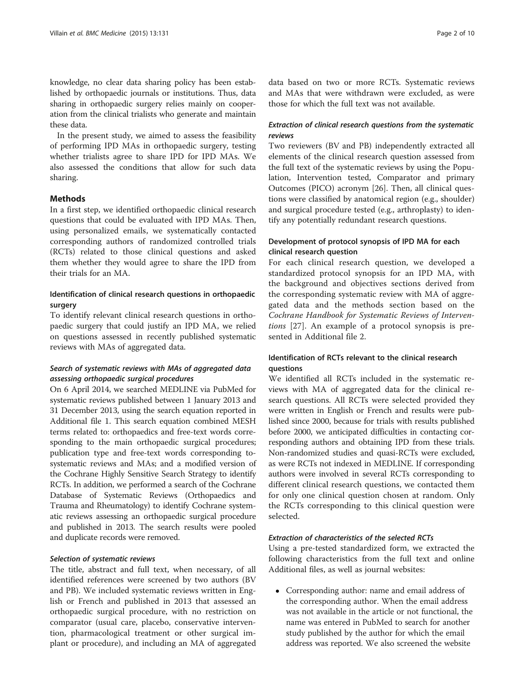knowledge, no clear data sharing policy has been established by orthopaedic journals or institutions. Thus, data sharing in orthopaedic surgery relies mainly on cooperation from the clinical trialists who generate and maintain these data.

In the present study, we aimed to assess the feasibility of performing IPD MAs in orthopaedic surgery, testing whether trialists agree to share IPD for IPD MAs. We also assessed the conditions that allow for such data sharing.

# **Methods**

In a first step, we identified orthopaedic clinical research questions that could be evaluated with IPD MAs. Then, using personalized emails, we systematically contacted corresponding authors of randomized controlled trials (RCTs) related to those clinical questions and asked them whether they would agree to share the IPD from their trials for an MA.

# Identification of clinical research questions in orthopaedic surgery

To identify relevant clinical research questions in orthopaedic surgery that could justify an IPD MA, we relied on questions assessed in recently published systematic reviews with MAs of aggregated data.

# Search of systematic reviews with MAs of aggregated data assessing orthopaedic surgical procedures

On 6 April 2014, we searched MEDLINE via PubMed for systematic reviews published between 1 January 2013 and 31 December 2013, using the search equation reported in Additional file [1.](#page-8-0) This search equation combined MESH terms related to: orthopaedics and free-text words corresponding to the main orthopaedic surgical procedures; publication type and free-text words corresponding tosystematic reviews and MAs; and a modified version of the Cochrane Highly Sensitive Search Strategy to identify RCTs. In addition, we performed a search of the Cochrane Database of Systematic Reviews (Orthopaedics and Trauma and Rheumatology) to identify Cochrane systematic reviews assessing an orthopaedic surgical procedure and published in 2013. The search results were pooled and duplicate records were removed.

# Selection of systematic reviews

The title, abstract and full text, when necessary, of all identified references were screened by two authors (BV and PB). We included systematic reviews written in English or French and published in 2013 that assessed an orthopaedic surgical procedure, with no restriction on comparator (usual care, placebo, conservative intervention, pharmacological treatment or other surgical implant or procedure), and including an MA of aggregated data based on two or more RCTs. Systematic reviews and MAs that were withdrawn were excluded, as were those for which the full text was not available.

# Extraction of clinical research questions from the systematic reviews

Two reviewers (BV and PB) independently extracted all elements of the clinical research question assessed from the full text of the systematic reviews by using the Population, Intervention tested, Comparator and primary Outcomes (PICO) acronym [\[26](#page-9-0)]. Then, all clinical questions were classified by anatomical region (e.g., shoulder) and surgical procedure tested (e.g., arthroplasty) to identify any potentially redundant research questions.

# Development of protocol synopsis of IPD MA for each clinical research question

For each clinical research question, we developed a standardized protocol synopsis for an IPD MA, with the background and objectives sections derived from the corresponding systematic review with MA of aggregated data and the methods section based on the Cochrane Handbook for Systematic Reviews of Interventions [\[27](#page-9-0)]. An example of a protocol synopsis is presented in Additional file [2](#page-8-0).

# Identification of RCTs relevant to the clinical research questions

We identified all RCTs included in the systematic reviews with MA of aggregated data for the clinical research questions. All RCTs were selected provided they were written in English or French and results were published since 2000, because for trials with results published before 2000, we anticipated difficulties in contacting corresponding authors and obtaining IPD from these trials. Non-randomized studies and quasi-RCTs were excluded, as were RCTs not indexed in MEDLINE. If corresponding authors were involved in several RCTs corresponding to different clinical research questions, we contacted them for only one clinical question chosen at random. Only the RCTs corresponding to this clinical question were selected.

# Extraction of characteristics of the selected RCTs

Using a pre-tested standardized form, we extracted the following characteristics from the full text and online Additional files, as well as journal websites:

 Corresponding author: name and email address of the corresponding author. When the email address was not available in the article or not functional, the name was entered in PubMed to search for another study published by the author for which the email address was reported. We also screened the website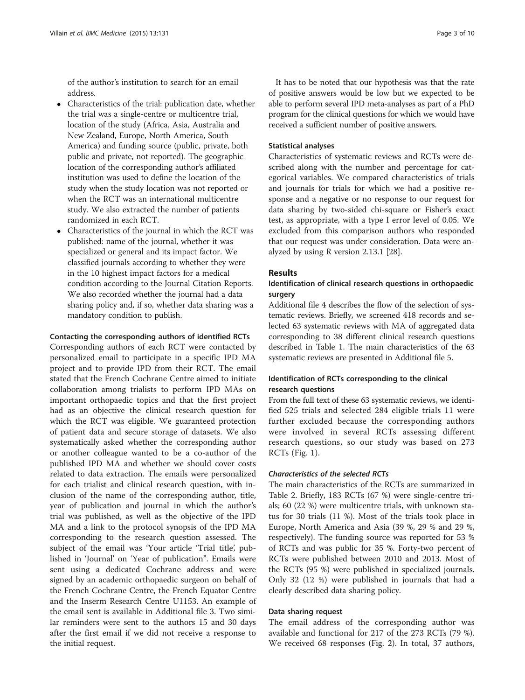of the author's institution to search for an email address.

- Characteristics of the trial: publication date, whether the trial was a single-centre or multicentre trial, location of the study (Africa, Asia, Australia and New Zealand, Europe, North America, South America) and funding source (public, private, both public and private, not reported). The geographic location of the corresponding author's affiliated institution was used to define the location of the study when the study location was not reported or when the RCT was an international multicentre study. We also extracted the number of patients randomized in each RCT.
- Characteristics of the journal in which the RCT was published: name of the journal, whether it was specialized or general and its impact factor. We classified journals according to whether they were in the 10 highest impact factors for a medical condition according to the Journal Citation Reports. We also recorded whether the journal had a data sharing policy and, if so, whether data sharing was a mandatory condition to publish.

# Contacting the corresponding authors of identified RCTs

Corresponding authors of each RCT were contacted by personalized email to participate in a specific IPD MA project and to provide IPD from their RCT. The email stated that the French Cochrane Centre aimed to initiate collaboration among trialists to perform IPD MAs on important orthopaedic topics and that the first project had as an objective the clinical research question for which the RCT was eligible. We guaranteed protection of patient data and secure storage of datasets. We also systematically asked whether the corresponding author or another colleague wanted to be a co-author of the published IPD MA and whether we should cover costs related to data extraction. The emails were personalized for each trialist and clinical research question, with inclusion of the name of the corresponding author, title, year of publication and journal in which the author's trial was published, as well as the objective of the IPD MA and a link to the protocol synopsis of the IPD MA corresponding to the research question assessed. The subject of the email was 'Your article 'Trial title', published in 'Journal' on 'Year of publication". Emails were sent using a dedicated Cochrane address and were signed by an academic orthopaedic surgeon on behalf of the French Cochrane Centre, the French Equator Centre and the Inserm Research Centre U1153. An example of the email sent is available in Additional file [3.](#page-8-0) Two similar reminders were sent to the authors 15 and 30 days after the first email if we did not receive a response to the initial request.

It has to be noted that our hypothesis was that the rate of positive answers would be low but we expected to be able to perform several IPD meta-analyses as part of a PhD program for the clinical questions for which we would have received a sufficient number of positive answers.

# Statistical analyses

Characteristics of systematic reviews and RCTs were described along with the number and percentage for categorical variables. We compared characteristics of trials and journals for trials for which we had a positive response and a negative or no response to our request for data sharing by two-sided chi-square or Fisher's exact test, as appropriate, with a type I error level of 0.05. We excluded from this comparison authors who responded that our request was under consideration. Data were analyzed by using R version 2.13.1 [\[28](#page-9-0)].

# Results

# Identification of clinical research questions in orthopaedic surgery

Additional file [4](#page-8-0) describes the flow of the selection of systematic reviews. Briefly, we screened 418 records and selected 63 systematic reviews with MA of aggregated data corresponding to 38 different clinical research questions described in Table [1](#page-3-0). The main characteristics of the 63 systematic reviews are presented in Additional file [5](#page-8-0).

# Identification of RCTs corresponding to the clinical research questions

From the full text of these 63 systematic reviews, we identified 525 trials and selected 284 eligible trials 11 were further excluded because the corresponding authors were involved in several RCTs assessing different research questions, so our study was based on 273 RCTs (Fig. [1\)](#page-4-0).

# Characteristics of the selected RCTs

The main characteristics of the RCTs are summarized in Table [2](#page-5-0). Briefly, 183 RCTs (67 %) were single-centre trials; 60 (22 %) were multicentre trials, with unknown status for 30 trials (11 %). Most of the trials took place in Europe, North America and Asia (39 %, 29 % and 29 %, respectively). The funding source was reported for 53 % of RCTs and was public for 35 %. Forty-two percent of RCTs were published between 2010 and 2013. Most of the RCTs (95 %) were published in specialized journals. Only 32 (12 %) were published in journals that had a clearly described data sharing policy.

## Data sharing request

The email address of the corresponding author was available and functional for 217 of the 273 RCTs (79 %). We received 68 responses (Fig. [2\)](#page-6-0). In total, 37 authors,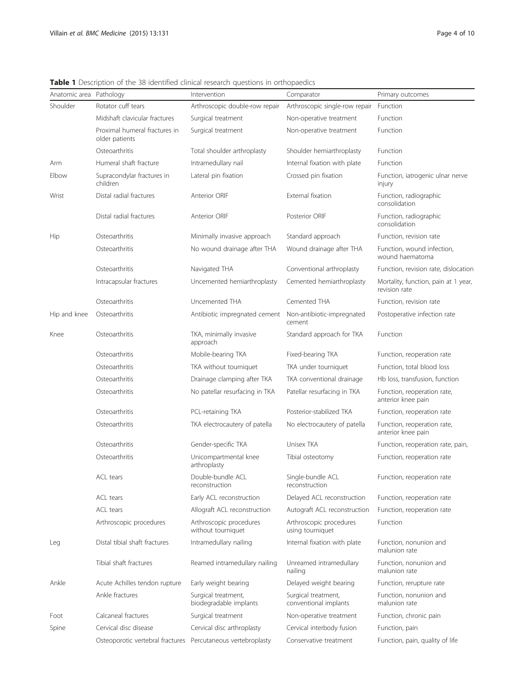<span id="page-3-0"></span>Table 1 Description of the 38 identified clinical research questions in orthopaedics

| Anatomic area | Pathology                                                     | Intervention                                  | Comparator                                   | Primary outcomes                                      |  |  |  |  |
|---------------|---------------------------------------------------------------|-----------------------------------------------|----------------------------------------------|-------------------------------------------------------|--|--|--|--|
| Shoulder      | Rotator cuff tears                                            | Arthroscopic double-row repair                | Arthroscopic single-row repair               | Function                                              |  |  |  |  |
|               | Midshaft clavicular fractures                                 | Surgical treatment                            | Non-operative treatment                      | Function                                              |  |  |  |  |
|               | Proximal humeral fractures in<br>older patients               | Surgical treatment                            | Non-operative treatment                      | Function                                              |  |  |  |  |
|               | Osteoarthritis                                                | Total shoulder arthroplasty                   | Shoulder hemiarthroplasty                    | Function                                              |  |  |  |  |
| Arm           | Humeral shaft fracture                                        | Intramedullary nail                           | Internal fixation with plate                 | Function                                              |  |  |  |  |
| Elbow         | Supracondylar fractures in<br>children                        | Lateral pin fixation                          | Crossed pin fixation                         | Function, iatrogenic ulnar nerve<br>injury            |  |  |  |  |
| Wrist         | Distal radial fractures                                       | Anterior ORIF                                 | External fixation                            | Function, radiographic<br>consolidation               |  |  |  |  |
|               | Distal radial fractures                                       | <b>Anterior ORIF</b>                          | Posterior ORIF                               | Function, radiographic<br>consolidation               |  |  |  |  |
| Hip           | Osteoarthritis                                                | Minimally invasive approach                   | Standard approach                            | Function, revision rate                               |  |  |  |  |
|               | Osteoarthritis                                                | No wound drainage after THA                   | Wound drainage after THA                     | Function, wound infection,<br>wound haematoma         |  |  |  |  |
|               | Osteoarthritis                                                | Navigated THA                                 | Conventional arthroplasty                    | Function, revision rate, dislocation                  |  |  |  |  |
|               | Intracapsular fractures                                       | Uncemented hemiarthroplasty                   | Cemented hemiarthroplasty                    | Mortality, function, pain at 1 year,<br>revision rate |  |  |  |  |
|               | Osteoarthritis                                                | Uncemented THA                                | Cemented THA                                 | Function, revision rate                               |  |  |  |  |
| Hip and knee  | Osteoarthritis                                                | Antibiotic impregnated cement                 | Non-antibiotic-impregnated<br>cement         | Postoperative infection rate                          |  |  |  |  |
| Knee          | Osteoarthritis                                                | TKA, minimally invasive<br>approach           | Standard approach for TKA                    | Function                                              |  |  |  |  |
|               | Osteoarthritis                                                | Mobile-bearing TKA                            | Fixed-bearing TKA                            | Function, reoperation rate                            |  |  |  |  |
|               | Osteoarthritis                                                | TKA without tourniquet                        | TKA under tourniquet                         | Function, total blood loss                            |  |  |  |  |
|               | Osteoarthritis                                                | Drainage clamping after TKA                   | TKA conventional drainage                    | Hb loss, transfusion, function                        |  |  |  |  |
|               | Osteoarthritis                                                | No patellar resurfacing in TKA                | Patellar resurfacing in TKA                  | Function, reoperation rate,<br>anterior knee pain     |  |  |  |  |
|               | Osteoarthritis                                                | PCL-retaining TKA                             | Posterior-stabilized TKA                     | Function, reoperation rate                            |  |  |  |  |
|               | Osteoarthritis                                                | TKA electrocautery of patella                 | No electrocautery of patella                 | Function, reoperation rate,<br>anterior knee pain     |  |  |  |  |
|               | Osteoarthritis                                                | Gender-specific TKA                           | Unisex TKA                                   | Function, reoperation rate, pain,                     |  |  |  |  |
|               | Osteoarthritis                                                | Unicompartmental knee<br>arthroplasty         | Tibial osteotomy                             | Function, reoperation rate                            |  |  |  |  |
|               | ACI tears                                                     | Double-bundle ACL<br>reconstruction           | Single-bundle ACL<br>reconstruction          | Function, reoperation rate                            |  |  |  |  |
|               | ACL tears                                                     | Early ACL reconstruction                      | Delayed ACL reconstruction                   | Function, reoperation rate                            |  |  |  |  |
|               | ACL tears                                                     | Allograft ACL reconstruction                  | Autograft ACL reconstruction                 | Function, reoperation rate                            |  |  |  |  |
|               | Arthroscopic procedures                                       | Arthroscopic procedures<br>without tourniquet | Arthroscopic procedures<br>using tourniquet  | Function                                              |  |  |  |  |
| Leg           | Distal tibial shaft fractures                                 | Intramedullary nailing                        | Internal fixation with plate                 | Function, nonunion and<br>malunion rate               |  |  |  |  |
|               | Tibial shaft fractures                                        | Reamed intramedullary nailing                 | Unreamed intramedullary<br>nailing           | Function, nonunion and<br>malunion rate               |  |  |  |  |
| Ankle         | Acute Achilles tendon rupture                                 | Early weight bearing                          | Delayed weight bearing                       | Function, rerupture rate                              |  |  |  |  |
|               | Ankle fractures                                               | Surgical treatment,<br>biodegradable implants | Surgical treatment,<br>conventional implants | Function, nonunion and<br>malunion rate               |  |  |  |  |
| Foot          | Calcaneal fractures                                           | Surgical treatment                            | Non-operative treatment                      | Function, chronic pain                                |  |  |  |  |
| Spine         | Cervical disc disease                                         | Cervical disc arthroplasty                    | Cervical interbody fusion                    | Function, pain                                        |  |  |  |  |
|               | Osteoporotic vertebral fractures  Percutaneous vertebroplasty |                                               | Conservative treatment                       | Function, pain, quality of life                       |  |  |  |  |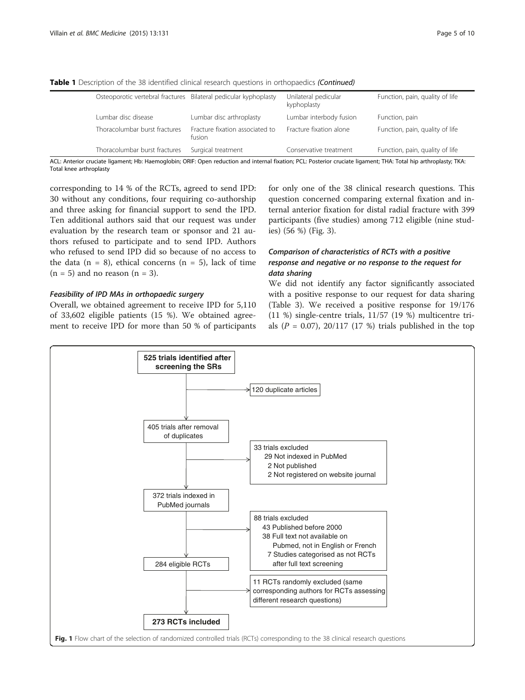| Osteoporotic vertebral fractures Bilateral pedicular kyphoplasty |                                           | Unilateral pedicular<br>kyphoplasty | Function, pain, quality of life |
|------------------------------------------------------------------|-------------------------------------------|-------------------------------------|---------------------------------|
| Lumbar disc disease                                              | Lumbar disc arthroplasty                  | Lumbar interbody fusion             | Function, pain                  |
| Thoracolumbar burst fractures                                    | Fracture fixation associated to<br>fusion | Fracture fixation alone             | Function, pain, quality of life |
| Thoracolumbar burst fractures                                    | Surgical treatment                        | Conservative treatment              | Function, pain, quality of life |
|                                                                  |                                           |                                     |                                 |

<span id="page-4-0"></span>Table 1 Description of the 38 identified clinical research questions in orthopaedics (Continued)

ACL: Anterior cruciate ligament; Hb: Haemoglobin; ORIF: Open reduction and internal fixation; PCL: Posterior cruciate ligament; THA: Total hip arthroplasty; TKA: Total knee arthroplasty

corresponding to 14 % of the RCTs, agreed to send IPD: 30 without any conditions, four requiring co-authorship and three asking for financial support to send the IPD. Ten additional authors said that our request was under evaluation by the research team or sponsor and 21 authors refused to participate and to send IPD. Authors who refused to send IPD did so because of no access to the data ( $n = 8$ ), ethical concerns ( $n = 5$ ), lack of time  $(n = 5)$  and no reason  $(n = 3)$ .

# Feasibility of IPD MAs in orthopaedic surgery

Overall, we obtained agreement to receive IPD for 5,110 of 33,602 eligible patients (15 %). We obtained agreement to receive IPD for more than 50 % of participants for only one of the 38 clinical research questions. This question concerned comparing external fixation and internal anterior fixation for distal radial fracture with 399 participants (five studies) among 712 eligible (nine studies) (56 %) (Fig. [3](#page-6-0)).

# Comparison of characteristics of RCTs with a positive response and negative or no response to the request for data sharing

We did not identify any factor significantly associated with a positive response to our request for data sharing (Table [3\)](#page-7-0). We received a positive response for 19/176 (11 %) single-centre trials, 11/57 (19 %) multicentre trials  $(P = 0.07)$ , 20/117 (17 %) trials published in the top

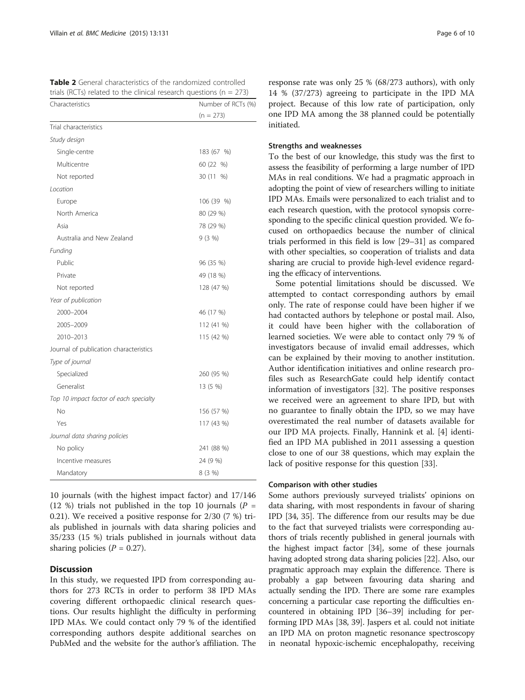<span id="page-5-0"></span>Table 2 General characteristics of the randomized controlled trials (RCTs) related to the clinical research questions ( $n = 273$ )

| Characteristics                        | Number of RCTs (%) |  |  |  |  |
|----------------------------------------|--------------------|--|--|--|--|
|                                        | $(n = 273)$        |  |  |  |  |
| Trial characteristics                  |                    |  |  |  |  |
| Study design                           |                    |  |  |  |  |
| Single-centre                          | 183 (67 %)         |  |  |  |  |
| Multicentre                            | 60 (22 %)          |  |  |  |  |
| Not reported                           | 30 (11 %)          |  |  |  |  |
| Location                               |                    |  |  |  |  |
| Europe                                 | 106 (39 %)         |  |  |  |  |
| North America                          | 80 (29 %)          |  |  |  |  |
| Asia                                   | 78 (29 %)          |  |  |  |  |
| Australia and New Zealand              | 9(3%)              |  |  |  |  |
| Funding                                |                    |  |  |  |  |
| Public                                 | 96 (35 %)          |  |  |  |  |
| Private                                | 49 (18 %)          |  |  |  |  |
| Not reported                           | 128 (47 %)         |  |  |  |  |
| Year of publication                    |                    |  |  |  |  |
| 2000-2004                              | 46 (17 %)          |  |  |  |  |
| 2005-2009                              | 112 (41 %)         |  |  |  |  |
| 2010-2013                              | 115 (42 %)         |  |  |  |  |
| Journal of publication characteristics |                    |  |  |  |  |
| Type of journal                        |                    |  |  |  |  |
| Specialized                            | 260 (95 %)         |  |  |  |  |
| Generalist                             | 13 (5 %)           |  |  |  |  |
| Top 10 impact factor of each specialty |                    |  |  |  |  |
| No                                     | 156 (57 %)         |  |  |  |  |
| Yes                                    | 117 (43 %)         |  |  |  |  |
| Journal data sharing policies          |                    |  |  |  |  |
| No policy                              | 241 (88 %)         |  |  |  |  |
| Incentive measures                     | 24 (9 %)           |  |  |  |  |
| Mandatory                              | 8 (3 %)            |  |  |  |  |

10 journals (with the highest impact factor) and 17/146 (12 %) trials not published in the top 10 journals ( $P =$ 0.21). We received a positive response for 2/30 (7 %) trials published in journals with data sharing policies and 35/233 (15 %) trials published in journals without data sharing policies ( $P = 0.27$ ).

# **Discussion**

In this study, we requested IPD from corresponding authors for 273 RCTs in order to perform 38 IPD MAs covering different orthopaedic clinical research questions. Our results highlight the difficulty in performing IPD MAs. We could contact only 79 % of the identified corresponding authors despite additional searches on PubMed and the website for the author's affiliation. The

response rate was only 25 % (68/273 authors), with only 14 % (37/273) agreeing to participate in the IPD MA project. Because of this low rate of participation, only one IPD MA among the 38 planned could be potentially initiated.

## Strengths and weaknesses

To the best of our knowledge, this study was the first to assess the feasibility of performing a large number of IPD MAs in real conditions. We had a pragmatic approach in adopting the point of view of researchers willing to initiate IPD MAs. Emails were personalized to each trialist and to each research question, with the protocol synopsis corresponding to the specific clinical question provided. We focused on orthopaedics because the number of clinical trials performed in this field is low [[29](#page-9-0)–[31](#page-9-0)] as compared with other specialties, so cooperation of trialists and data sharing are crucial to provide high-level evidence regarding the efficacy of interventions.

Some potential limitations should be discussed. We attempted to contact corresponding authors by email only. The rate of response could have been higher if we had contacted authors by telephone or postal mail. Also, it could have been higher with the collaboration of learned societies. We were able to contact only 79 % of investigators because of invalid email addresses, which can be explained by their moving to another institution. Author identification initiatives and online research profiles such as ResearchGate could help identify contact information of investigators [[32\]](#page-9-0). The positive responses we received were an agreement to share IPD, but with no guarantee to finally obtain the IPD, so we may have overestimated the real number of datasets available for our IPD MA projects. Finally, Hannink et al. [[4\]](#page-9-0) identified an IPD MA published in 2011 assessing a question close to one of our 38 questions, which may explain the lack of positive response for this question [\[33](#page-9-0)].

# Comparison with other studies

Some authors previously surveyed trialists' opinions on data sharing, with most respondents in favour of sharing IPD [[34](#page-9-0), [35](#page-9-0)]. The difference from our results may be due to the fact that surveyed trialists were corresponding authors of trials recently published in general journals with the highest impact factor [[34](#page-9-0)], some of these journals having adopted strong data sharing policies [\[22\]](#page-9-0). Also, our pragmatic approach may explain the difference. There is probably a gap between favouring data sharing and actually sending the IPD. There are some rare examples concerning a particular case reporting the difficulties encountered in obtaining IPD [[36](#page-9-0)–[39\]](#page-9-0) including for performing IPD MAs [\[38, 39](#page-9-0)]. Jaspers et al. could not initiate an IPD MA on proton magnetic resonance spectroscopy in neonatal hypoxic-ischemic encephalopathy, receiving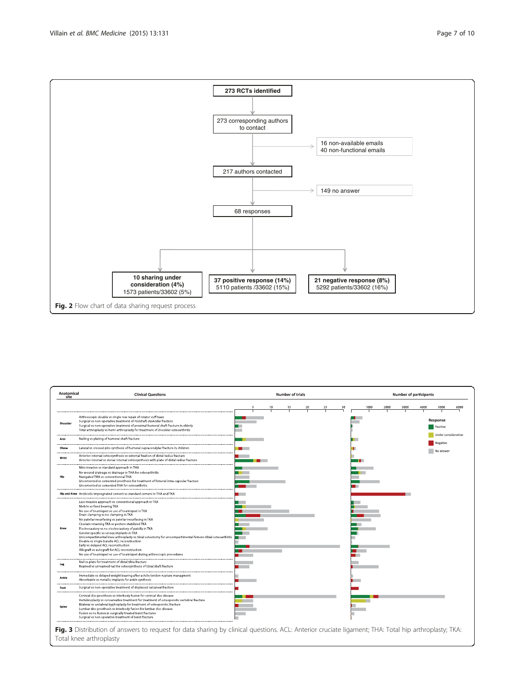

<span id="page-6-0"></span>

| Anatomical<br><b>Clinical Questions</b><br>site |                                                                                                                                                                                                                                                                                                            |                                                                                                                                                                                                                                                                                                                                                                                                                                               | <b>Number of trials</b> |  |  |  |  |  |      | <b>Number of participants</b> |      |      |                                 |      |
|-------------------------------------------------|------------------------------------------------------------------------------------------------------------------------------------------------------------------------------------------------------------------------------------------------------------------------------------------------------------|-----------------------------------------------------------------------------------------------------------------------------------------------------------------------------------------------------------------------------------------------------------------------------------------------------------------------------------------------------------------------------------------------------------------------------------------------|-------------------------|--|--|--|--|--|------|-------------------------------|------|------|---------------------------------|------|
|                                                 |                                                                                                                                                                                                                                                                                                            |                                                                                                                                                                                                                                                                                                                                                                                                                                               |                         |  |  |  |  |  | 1000 | 2000                          | 3000 | 4000 | 5000                            | 6000 |
| Shoulder                                        |                                                                                                                                                                                                                                                                                                            | Arthroscopic double vs single row repair of rotator cuff tears<br>Surgical vs non-operative treatment of midshaft clavicular fracture<br>Surgical vs non-operative treatment of proximal humeral shaft fracture in elderly<br>Total arthroplasty vs hemi-arthroplasty for treatment of shoulder osteoarthritis                                                                                                                                |                         |  |  |  |  |  |      |                               |      |      | Response<br>Positive            |      |
| <br>Arm                                         | Nailing vs plating of humeral shaft fracture                                                                                                                                                                                                                                                               |                                                                                                                                                                                                                                                                                                                                                                                                                                               |                         |  |  |  |  |  |      |                               |      |      | Under consideration<br>Negative |      |
| <br>Elbow                                       |                                                                                                                                                                                                                                                                                                            | Lateral vs crossed pins synthesis of humeral supracondylar fracture in children                                                                                                                                                                                                                                                                                                                                                               |                         |  |  |  |  |  |      |                               |      |      | No answer                       |      |
| <br>Wrist                                       |                                                                                                                                                                                                                                                                                                            | Anterior internal osteosynthesis vs external fixation of distal radius fracture<br>Anterior internal vs dorsal internal osteosynthesis with plate of distal radius fracture                                                                                                                                                                                                                                                                   |                         |  |  |  |  |  |      |                               |      |      |                                 |      |
| Hip                                             | Mini-invasive vs standard approach in THA<br>Navigated THA vs conventionnal THA                                                                                                                                                                                                                            | No wound drainage vs drainage in THA for osteoarthritis<br>Uncemented vs cemented prosthesis for treatment of femoral intra-capsular fracture<br>Uncemented vs cemented THA for osteoarthritis                                                                                                                                                                                                                                                |                         |  |  |  |  |  |      |                               |      |      |                                 |      |
|                                                 |                                                                                                                                                                                                                                                                                                            | Hip and Knee Antibiotic impregnated cement vs standard cement in THA and TKA                                                                                                                                                                                                                                                                                                                                                                  |                         |  |  |  |  |  |      |                               |      |      |                                 |      |
| Knee                                            | Mobile vs fixed bearing TKA<br>Drain clamping vs no clamping in TKA<br>Cruciate retaining TKA vs postero stabilized TKA<br>Gender specific vs unisex implants in TKA<br>Double vs single bundle ACL reconstruction<br>Early vs delayed ACL reconstruction<br>Allograft vs autograft for ACL reconstruction | Less invasive approach vs conventional approach in TKA<br>No use of tourniquet vs use of tourniquet in TKA<br>No patellar resurfacing vs patellar resurfacing in TKA<br>Electrocautery vs no electrocautery of patella in TKA<br>Unicompartimental knee arthroplasty vs tibial osteotomy for unicompartimental femoro-tibial osteoarthritis<br>No use of tourniquet vs use of tourniquet during arthroscopic procedures                       |                         |  |  |  |  |  |      |                               |      |      |                                 |      |
| <br>Leg                                         |                                                                                                                                                                                                                                                                                                            | Nail vs plate for treatment of distal tibia fracture<br>Reamed vs unreamed nail for osteosynthesis of tibial shaft fracture                                                                                                                                                                                                                                                                                                                   |                         |  |  |  |  |  |      |                               |      |      |                                 |      |
| ------------<br>Ankle<br>                       |                                                                                                                                                                                                                                                                                                            | Immediate vs delaved weight bearing after achille tendon rupture managment<br>Absorbable vs metallic implants for ankle synthesis                                                                                                                                                                                                                                                                                                             |                         |  |  |  |  |  |      |                               |      |      |                                 |      |
| Foot                                            |                                                                                                                                                                                                                                                                                                            | Surgical vs non-operative treatment of displaced calcaneal fracture                                                                                                                                                                                                                                                                                                                                                                           |                         |  |  |  |  |  |      |                               |      |      |                                 |      |
| Spine                                           |                                                                                                                                                                                                                                                                                                            | Cervical disc prosthesis vs interbody fusion for cervical disc disease<br>Vertebroplasty vs conservative treatment for treatment of osteoporotic vertebral fracture<br>Bilateral vs unilateral kyphoplasty for treatment of osteoporotic fracture<br>Lumbar disc prosthesis vs interbody fusion for lumbar disc disease<br>Fusion vs no fusion in surgically treated burst fractures<br>Surgical vs non operative treatment of burst fracture |                         |  |  |  |  |  |      |                               |      |      |                                 |      |

Fig. 3 Distribution of answers to request for data sharing by clinical questions. ACL: Anterior cruciate ligament; THA: Total hip arthroplasty; TKA: Total knee arthroplasty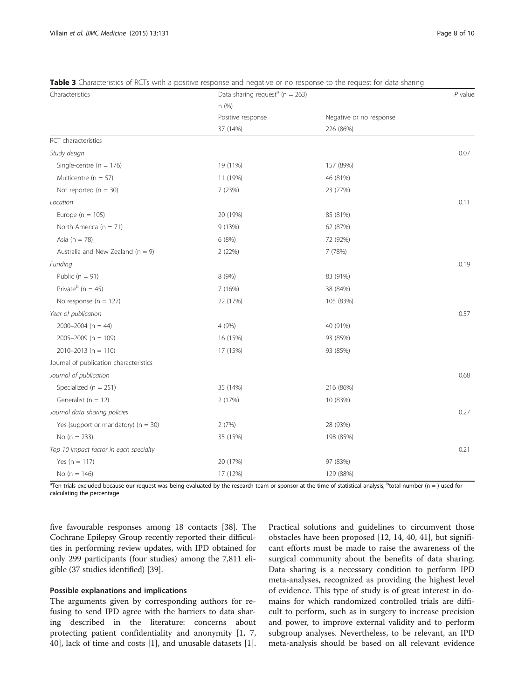| Characteristics                         | Data sharing request <sup>a</sup> ( $n = 263$ ) | $P$ value               |      |  |
|-----------------------------------------|-------------------------------------------------|-------------------------|------|--|
|                                         | n (%)                                           |                         |      |  |
|                                         | Positive response                               | Negative or no response |      |  |
|                                         | 37 (14%)                                        | 226 (86%)               |      |  |
| RCT characteristics                     |                                                 |                         |      |  |
| Study design                            |                                                 |                         | 0.07 |  |
| Single-centre ( $n = 176$ )             | 19 (11%)                                        | 157 (89%)               |      |  |
| Multicentre ( $n = 57$ )                | 11 (19%)                                        | 46 (81%)                |      |  |
| Not reported ( $n = 30$ )               | 7 (23%)                                         | 23 (77%)                |      |  |
| Location                                |                                                 |                         | 0.11 |  |
| Europe ( $n = 105$ )                    | 20 (19%)                                        | 85 (81%)                |      |  |
| North America ( $n = 71$ )              | 9(13%)                                          | 62 (87%)                |      |  |
| Asia ( $n = 78$ )                       | 6 (8%)                                          | 72 (92%)                |      |  |
| Australia and New Zealand ( $n = 9$ )   | 2(22%)                                          | 7 (78%)                 |      |  |
| Funding                                 |                                                 |                         | 0.19 |  |
| Public ( $n = 91$ )                     | 8 (9%)                                          | 83 (91%)                |      |  |
| Private $^{\rm b}$ (n = 45)             | 7(16%)                                          | 38 (84%)                |      |  |
| No response ( $n = 127$ )               | 22 (17%)                                        | 105 (83%)               |      |  |
| Year of publication                     |                                                 |                         | 0.57 |  |
| $2000 - 2004$ (n = 44)                  | 4 (9%)                                          | 40 (91%)                |      |  |
| $2005 - 2009$ (n = 109)                 | 16 (15%)                                        | 93 (85%)                |      |  |
| $2010 - 2013$ (n = 110)                 | 17 (15%)                                        | 93 (85%)                |      |  |
| Journal of publication characteristics  |                                                 |                         |      |  |
| Journal of publication                  |                                                 |                         | 0.68 |  |
| Specialized ( $n = 251$ )               | 35 (14%)                                        | 216 (86%)               |      |  |
| Generalist ( $n = 12$ )                 | 2 (17%)                                         | 10 (83%)                |      |  |
| Journal data sharing policies           |                                                 |                         | 0.27 |  |
| Yes (support or mandatory) ( $n = 30$ ) | 2(7%)                                           | 28 (93%)                |      |  |
| No ( $n = 233$ )                        | 35 (15%)                                        | 198 (85%)               |      |  |
| Top 10 impact factor in each specialty  |                                                 |                         | 0.21 |  |
| Yes ( $n = 117$ )                       | 20 (17%)                                        | 97 (83%)                |      |  |
| No ( $n = 146$ )                        | 17 (12%)                                        | 129 (88%)               |      |  |

<span id="page-7-0"></span>Table 3 Characteristics of RCTs with a positive response and negative or no response to the request for data sharing

<sup>a</sup>Ten trials excluded because our request was being evaluated by the research team or sponsor at the time of statistical analysis; <sup>b</sup>total number (n = ) used for calculating the percentage

five favourable responses among 18 contacts [[38](#page-9-0)]. The Cochrane Epilepsy Group recently reported their difficulties in performing review updates, with IPD obtained for only 299 participants (four studies) among the 7,811 eligible (37 studies identified) [\[39\]](#page-9-0).

# Possible explanations and implications

The arguments given by corresponding authors for refusing to send IPD agree with the barriers to data sharing described in the literature: concerns about protecting patient confidentiality and anonymity [\[1](#page-9-0), [7](#page-9-0), [40\]](#page-9-0), lack of time and costs [\[1\]](#page-9-0), and unusable datasets [\[1](#page-9-0)].

Practical solutions and guidelines to circumvent those obstacles have been proposed [[12](#page-9-0), [14](#page-9-0), [40](#page-9-0), [41\]](#page-9-0), but significant efforts must be made to raise the awareness of the surgical community about the benefits of data sharing. Data sharing is a necessary condition to perform IPD meta-analyses, recognized as providing the highest level of evidence. This type of study is of great interest in domains for which randomized controlled trials are difficult to perform, such as in surgery to increase precision and power, to improve external validity and to perform subgroup analyses. Nevertheless, to be relevant, an IPD meta-analysis should be based on all relevant evidence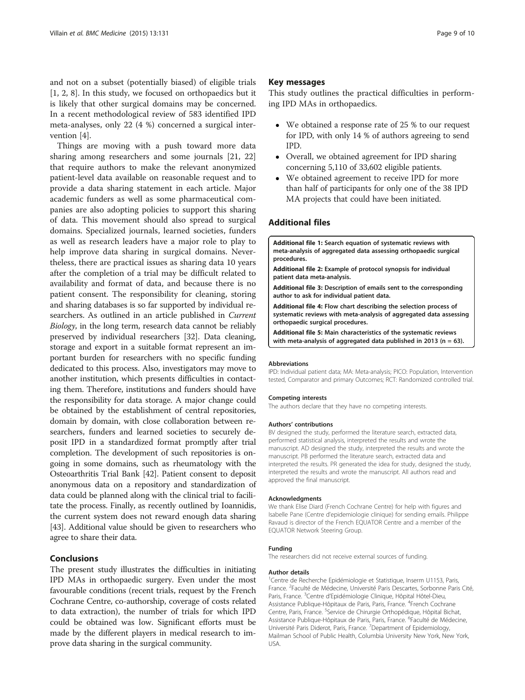<span id="page-8-0"></span>and not on a subset (potentially biased) of eligible trials [[1, 2, 8](#page-9-0)]. In this study, we focused on orthopaedics but it is likely that other surgical domains may be concerned. In a recent methodological review of 583 identified IPD meta-analyses, only 22 (4 %) concerned a surgical intervention [\[4](#page-9-0)].

Things are moving with a push toward more data sharing among researchers and some journals [[21, 22](#page-9-0)] that require authors to make the relevant anonymized patient-level data available on reasonable request and to provide a data sharing statement in each article. Major academic funders as well as some pharmaceutical companies are also adopting policies to support this sharing of data. This movement should also spread to surgical domains. Specialized journals, learned societies, funders as well as research leaders have a major role to play to help improve data sharing in surgical domains. Nevertheless, there are practical issues as sharing data 10 years after the completion of a trial may be difficult related to availability and format of data, and because there is no patient consent. The responsibility for cleaning, storing and sharing databases is so far supported by individual researchers. As outlined in an article published in *Current* Biology, in the long term, research data cannot be reliably preserved by individual researchers [[32](#page-9-0)]. Data cleaning, storage and export in a suitable format represent an important burden for researchers with no specific funding dedicated to this process. Also, investigators may move to another institution, which presents difficulties in contacting them. Therefore, institutions and funders should have the responsibility for data storage. A major change could be obtained by the establishment of central repositories, domain by domain, with close collaboration between researchers, funders and learned societies to securely deposit IPD in a standardized format promptly after trial completion. The development of such repositories is ongoing in some domains, such as rheumatology with the Osteoarthritis Trial Bank [\[42\]](#page-9-0). Patient consent to deposit anonymous data on a repository and standardization of data could be planned along with the clinical trial to facilitate the process. Finally, as recently outlined by Ioannidis, the current system does not reward enough data sharing [[43](#page-9-0)]. Additional value should be given to researchers who agree to share their data.

# Conclusions

The present study illustrates the difficulties in initiating IPD MAs in orthopaedic surgery. Even under the most favourable conditions (recent trials, request by the French Cochrane Centre, co-authorship, coverage of costs related to data extraction), the number of trials for which IPD could be obtained was low. Significant efforts must be made by the different players in medical research to improve data sharing in the surgical community.

## Key messages

This study outlines the practical difficulties in performing IPD MAs in orthopaedics.

- We obtained a response rate of 25 % to our request for IPD, with only 14 % of authors agreeing to send IPD.
- Overall, we obtained agreement for IPD sharing concerning 5,110 of 33,602 eligible patients.
- We obtained agreement to receive IPD for more than half of participants for only one of the 38 IPD MA projects that could have been initiated.

# Additional files

[Additional file 1:](http://www.biomedcentral.com/content/supplementary/s12916-015-0376-6-s1.doc) Search equation of systematic reviews with meta-analysis of aggregated data assessing orthopaedic surgical procedures.

[Additional file 2:](http://www.biomedcentral.com/content/supplementary/s12916-015-0376-6-s2.doc) Example of protocol synopsis for individual patient data meta-analysis.

[Additional file 3:](http://www.biomedcentral.com/content/supplementary/s12916-015-0376-6-s3.doc) Description of emails sent to the corresponding author to ask for individual patient data.

[Additional file 4:](http://www.biomedcentral.com/content/supplementary/s12916-015-0376-6-s4.ppt) Flow chart describing the selection process of systematic reviews with meta-analysis of aggregated data assessing orthopaedic surgical procedures.

[Additional file 5:](http://www.biomedcentral.com/content/supplementary/s12916-015-0376-6-s5.doc) Main characteristics of the systematic reviews with meta-analysis of aggregated data published in 2013 ( $n = 63$ ).

## Abbreviations

IPD: Individual patient data; MA: Meta-analysis; PICO: Population, Intervention tested, Comparator and primary Outcomes; RCT: Randomized controlled trial.

### Competing interests

The authors declare that they have no competing interests.

## Authors' contributions

BV designed the study, performed the literature search, extracted data, performed statistical analysis, interpreted the results and wrote the manuscript. AD designed the study, interpreted the results and wrote the manuscript. PB performed the literature search, extracted data and interpreted the results. PR generated the idea for study, designed the study, interpreted the results and wrote the manuscript. All authors read and approved the final manuscript.

### Acknowledgments

We thank Elise Diard (French Cochrane Centre) for help with figures and Isabelle Pane (Centre d'epidemiologie clinique) for sending emails. Philippe Ravaud is director of the French EQUATOR Centre and a member of the EQUATOR Network Steering Group.

## Funding

The researchers did not receive external sources of funding.

## Author details

<sup>1</sup> Centre de Recherche Epidémiologie et Statistique, Inserm U1153, Paris France. <sup>2</sup>Faculté de Médecine, Université Paris Descartes, Sorbonne Paris Cité Paris, France. <sup>3</sup>Centre d'Epidémiologie Clinique, Hôpital Hôtel-Dieu, Assistance Publique-Hôpitaux de Paris, Paris, France. <sup>4</sup>French Cochrane Centre, Paris, France. <sup>5</sup>Service de Chirurgie Orthopédique, Hôpital Bichat, Assistance Publique-Hôpitaux de Paris, Paris, France. <sup>6</sup>Faculté de Médecine, Université Paris Diderot, Paris, France. <sup>7</sup>Department of Epidemiology, Mailman School of Public Health, Columbia University New York, New York, USA.